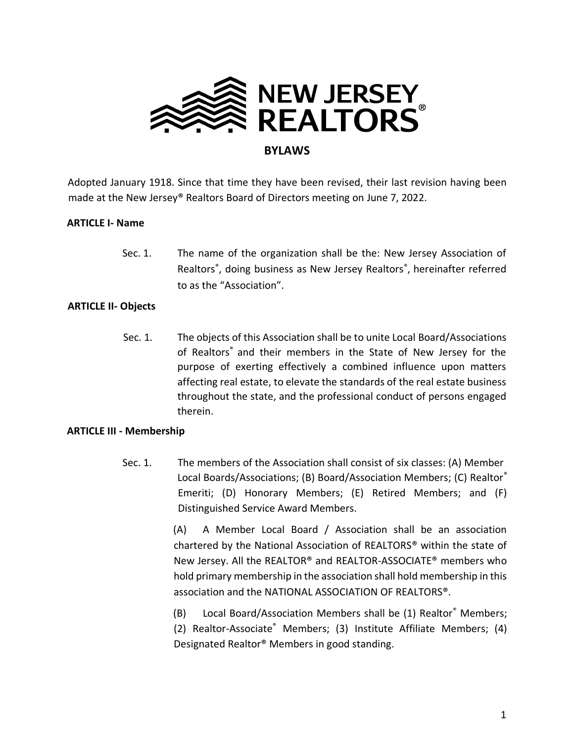

Adopted January 1918. Since that time they have been revised, their last revision having been made at the New Jersey® Realtors Board of Directors meeting on June 7, 2022.

# **ARTICLE I- Name**

 Sec. 1. The name of the organization shall be the: New Jersey Association of Realtors® , doing business as New Jersey Realtors® , hereinafter referred to as the "Association".

# **ARTICLE II- Objects**

Sec. 1. The objects of this Association shall be to unite Local Board/Associations of Realtors® and their members in the State of New Jersey for the purpose of exerting effectively a combined influence upon matters affecting real estate, to elevate the standards of the real estate business throughout the state, and the professional conduct of persons engaged therein.

## **ARTICLE III - Membership**

Sec. 1. The members of the Association shall consist of six classes: (A) Member Local Boards/Associations; (B) Board/Association Members; (C) Realtor® Emeriti; (D) Honorary Members; (E) Retired Members; and (F) Distinguished Service Award Members.

> (A) A Member Local Board / Association shall be an association chartered by the National Association of REALTORS® within the state of New Jersey. All the REALTOR® and REALTOR-ASSOCIATE® members who hold primary membership in the association shall hold membership in this association and the NATIONAL ASSOCIATION OF REALTORS®.

> (B) Local Board/Association Members shall be (1) Realtor® Members; (2) Realtor-Associate® Members; (3) Institute Affiliate Members; (4) Designated Realtor® Members in good standing.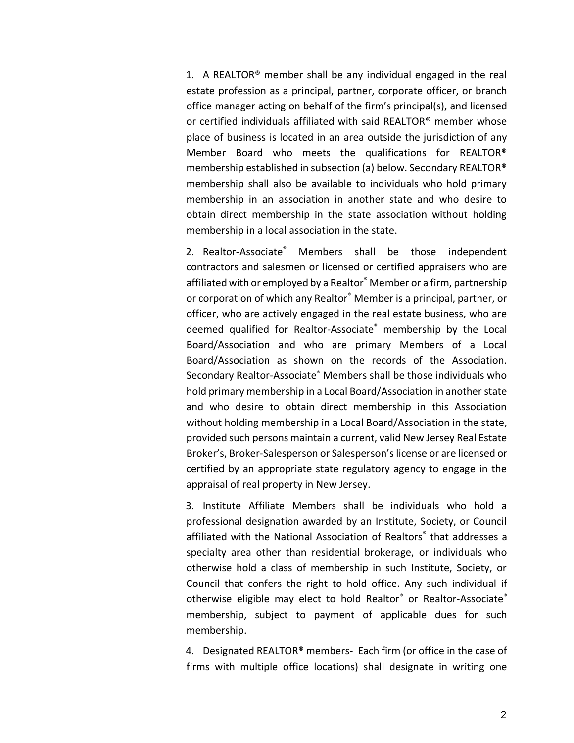1. A REALTOR® member shall be any individual engaged in the real estate profession as a principal, partner, corporate officer, or branch office manager acting on behalf of the firm's principal(s), and licensed or certified individuals affiliated with said REALTOR® member whose place of business is located in an area outside the jurisdiction of any Member Board who meets the qualifications for REALTOR® membership established in subsection (a) below. Secondary REALTOR® membership shall also be available to individuals who hold primary membership in an association in another state and who desire to obtain direct membership in the state association without holding membership in a local association in the state.

2. Realtor-Associate<sup>®</sup> Members shall be those independent contractors and salesmen or licensed or certified appraisers who are affiliated with or employed by a Realtor® Member or a firm, partnership or corporation of which any Realtor® Member is a principal, partner, or officer, who are actively engaged in the real estate business, who are deemed qualified for Realtor-Associate® membership by the Local Board/Association and who are primary Members of a Local Board/Association as shown on the records of the Association. Secondary Realtor-Associate® Members shall be those individuals who hold primary membership in a Local Board/Association in another state and who desire to obtain direct membership in this Association without holding membership in a Local Board/Association in the state, provided such persons maintain a current, valid New Jersey Real Estate Broker's, Broker-Salesperson or Salesperson's license or are licensed or certified by an appropriate state regulatory agency to engage in the appraisal of real property in New Jersey.

3. Institute Affiliate Members shall be individuals who hold a professional designation awarded by an Institute, Society, or Council affiliated with the National Association of Realtors® that addresses a specialty area other than residential brokerage, or individuals who otherwise hold a class of membership in such Institute, Society, or Council that confers the right to hold office. Any such individual if otherwise eligible may elect to hold Realtor® or Realtor-Associate® membership, subject to payment of applicable dues for such membership.

4. Designated REALTOR® members- Each firm (or office in the case of firms with multiple office locations) shall designate in writing one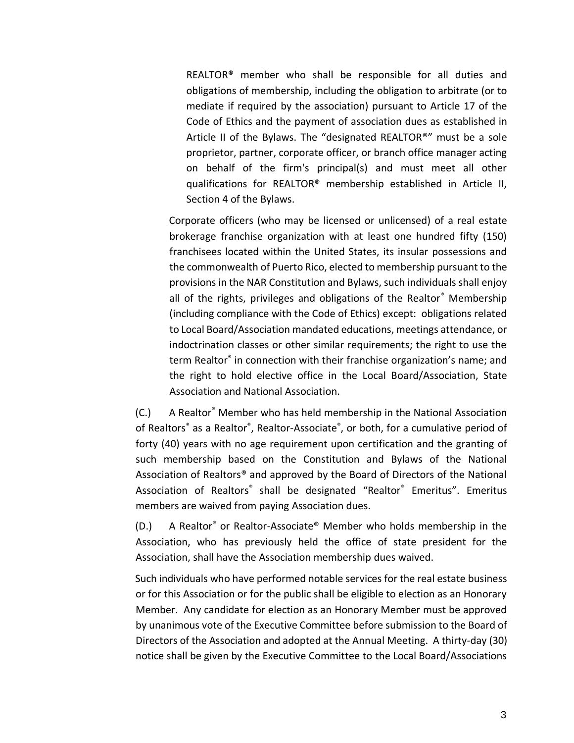REALTOR® member who shall be responsible for all duties and obligations of membership, including the obligation to arbitrate (or to mediate if required by the association) pursuant to Article 17 of the Code of Ethics and the payment of association dues as established in Article II of the Bylaws. The "designated REALTOR®" must be a sole proprietor, partner, corporate officer, or branch office manager acting on behalf of the firm's principal(s) and must meet all other qualifications for REALTOR® membership established in Article II, Section 4 of the Bylaws.

Corporate officers (who may be licensed or unlicensed) of a real estate brokerage franchise organization with at least one hundred fifty (150) franchisees located within the United States, its insular possessions and the commonwealth of Puerto Rico, elected to membership pursuant to the provisions in the NAR Constitution and Bylaws, such individuals shall enjoy all of the rights, privileges and obligations of the Realtor® Membership (including compliance with the Code of Ethics) except: obligations related to Local Board/Association mandated educations, meetings attendance, or indoctrination classes or other similar requirements; the right to use the term Realtor® in connection with their franchise organization's name; and the right to hold elective office in the Local Board/Association, State Association and National Association.

(C.) A Realtor® Member who has held membership in the National Association of Realtors<sup>®</sup> as a Realtor®, Realtor-Associate®, or both, for a cumulative period of forty (40) years with no age requirement upon certification and the granting of such membership based on the Constitution and Bylaws of the National Association of Realtors® and approved by the Board of Directors of the National Association of Realtors<sup>®</sup> shall be designated "Realtor<sup>®</sup> Emeritus". Emeritus members are waived from paying Association dues.

(D.) A Realtor® or Realtor-Associate® Member who holds membership in the Association, who has previously held the office of state president for the Association, shall have the Association membership dues waived.

Such individuals who have performed notable services for the real estate business or for this Association or for the public shall be eligible to election as an Honorary Member. Any candidate for election as an Honorary Member must be approved by unanimous vote of the Executive Committee before submission to the Board of Directors of the Association and adopted at the Annual Meeting. A thirty-day (30) notice shall be given by the Executive Committee to the Local Board/Associations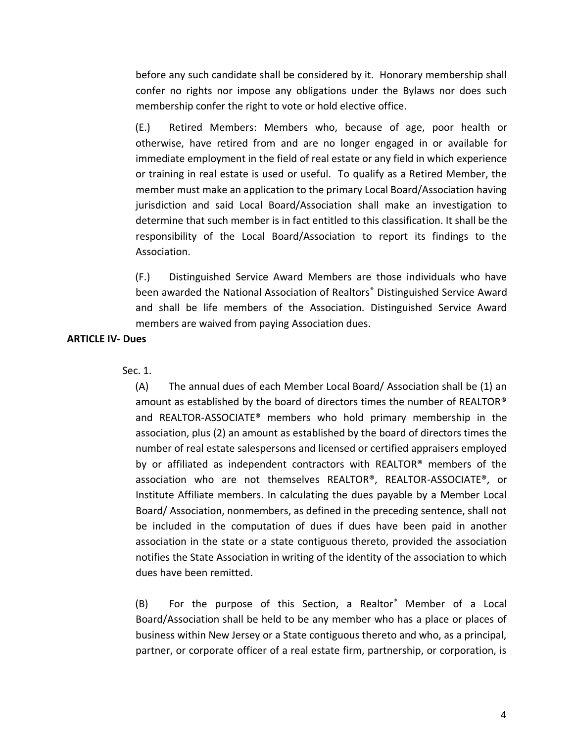before any such candidate shall be considered by it. Honorary membership shall confer no rights nor impose any obligations under the Bylaws nor does such membership confer the right to vote or hold elective office.

(E.) Retired Members: Members who, because of age, poor health or otherwise, have retired from and are no longer engaged in or available for immediate employment in the field of real estate or any field in which experience or training in real estate is used or useful. To qualify as a Retired Member, the member must make an application to the primary Local Board/Association having jurisdiction and said Local Board/Association shall make an investigation to determine that such member is in fact entitled to this classification. It shall be the responsibility of the Local Board/Association to report its findings to the Association.

(F.) Distinguished Service Award Members are those individuals who have been awarded the National Association of Realtors® Distinguished Service Award and shall be life members of the Association. Distinguished Service Award members are waived from paying Association dues.

#### **ARTICLE IV- Dues**

#### Sec. 1.

(A) The annual dues of each Member Local Board/ Association shall be (1) an amount as established by the board of directors times the number of REALTOR® and REALTOR-ASSOCIATE® members who hold primary membership in the association, plus (2) an amount as established by the board of directors times the number of real estate salespersons and licensed or certified appraisers employed by or affiliated as independent contractors with REALTOR® members of the association who are not themselves REALTOR®, REALTOR-ASSOCIATE®, or Institute Affiliate members. In calculating the dues payable by a Member Local Board/ Association, nonmembers, as defined in the preceding sentence, shall not be included in the computation of dues if dues have been paid in another association in the state or a state contiguous thereto, provided the association notifies the State Association in writing of the identity of the association to which dues have been remitted.

(B) For the purpose of this Section, a Realtor® Member of a Local Board/Association shall be held to be any member who has a place or places of business within New Jersey or a State contiguous thereto and who, as a principal, partner, or corporate officer of a real estate firm, partnership, or corporation, is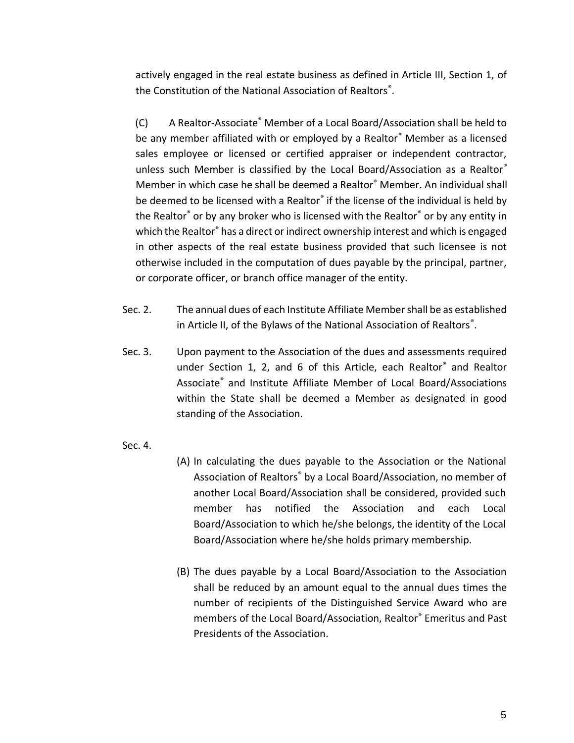actively engaged in the real estate business as defined in Article III, Section 1, of the Constitution of the National Association of Realtors® .

(C) A Realtor-Associate® Member of a Local Board/Association shall be held to be any member affiliated with or employed by a Realtor® Member as a licensed sales employee or licensed or certified appraiser or independent contractor, unless such Member is classified by the Local Board/Association as a Realtor® Member in which case he shall be deemed a Realtor® Member. An individual shall be deemed to be licensed with a Realtor<sup>®</sup> if the license of the individual is held by the Realtor® or by any broker who is licensed with the Realtor® or by any entity in which the Realtor® has a direct or indirect ownership interest and which is engaged in other aspects of the real estate business provided that such licensee is not otherwise included in the computation of dues payable by the principal, partner, or corporate officer, or branch office manager of the entity.

- Sec. 2. The annual dues of each Institute Affiliate Member shall be as established in Article II, of the Bylaws of the National Association of Realtors® .
- Sec. 3. Upon payment to the Association of the dues and assessments required under Section 1, 2, and 6 of this Article, each Realtor® and Realtor Associate® and Institute Affiliate Member of Local Board/Associations within the State shall be deemed a Member as designated in good standing of the Association.
- Sec. 4.
- (A) In calculating the dues payable to the Association or the National Association of Realtors® by a Local Board/Association, no member of another Local Board/Association shall be considered, provided such member has notified the Association and each Local Board/Association to which he/she belongs, the identity of the Local Board/Association where he/she holds primary membership.
- (B) The dues payable by a Local Board/Association to the Association shall be reduced by an amount equal to the annual dues times the number of recipients of the Distinguished Service Award who are members of the Local Board/Association, Realtor® Emeritus and Past Presidents of the Association.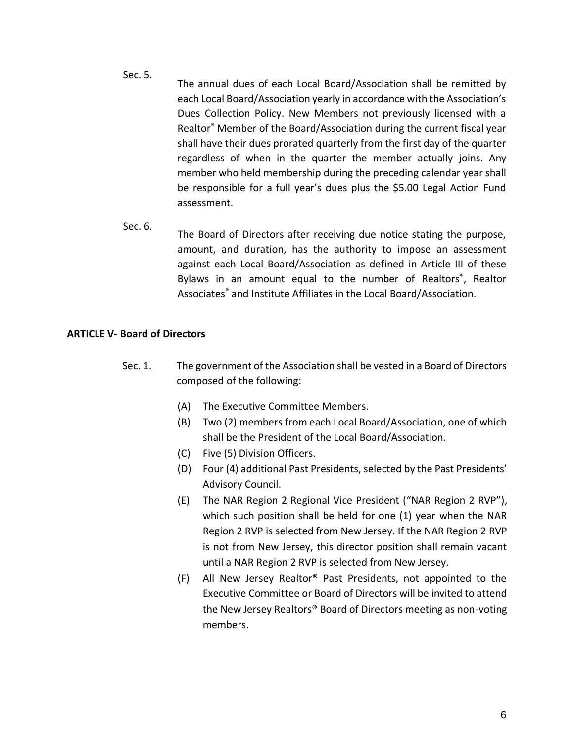- Sec. 5. The annual dues of each Local Board/Association shall be remitted by each Local Board/Association yearly in accordance with the Association's Dues Collection Policy. New Members not previously licensed with a Realtor® Member of the Board/Association during the current fiscal year shall have their dues prorated quarterly from the first day of the quarter regardless of when in the quarter the member actually joins. Any member who held membership during the preceding calendar year shall be responsible for a full year's dues plus the \$5.00 Legal Action Fund assessment.
- Sec. 6. The Board of Directors after receiving due notice stating the purpose, amount, and duration, has the authority to impose an assessment against each Local Board/Association as defined in Article III of these Bylaws in an amount equal to the number of Realtors<sup>®</sup>, Realtor Associates® and Institute Affiliates in the Local Board/Association.

## **ARTICLE V- Board of Directors**

- Sec. 1. The government of the Association shall be vested in a Board of Directors composed of the following:
	- (A) The Executive Committee Members.
	- (B) Two (2) members from each Local Board/Association, one of which shall be the President of the Local Board/Association.
	- (C) Five (5) Division Officers.
	- (D) Four (4) additional Past Presidents, selected by the Past Presidents' Advisory Council.
	- (E) The NAR Region 2 Regional Vice President ("NAR Region 2 RVP"), which such position shall be held for one (1) year when the NAR Region 2 RVP is selected from New Jersey. If the NAR Region 2 RVP is not from New Jersey, this director position shall remain vacant until a NAR Region 2 RVP is selected from New Jersey.
	- (F) All New Jersey Realtor® Past Presidents, not appointed to the Executive Committee or Board of Directors will be invited to attend the New Jersey Realtors® Board of Directors meeting as non-voting members.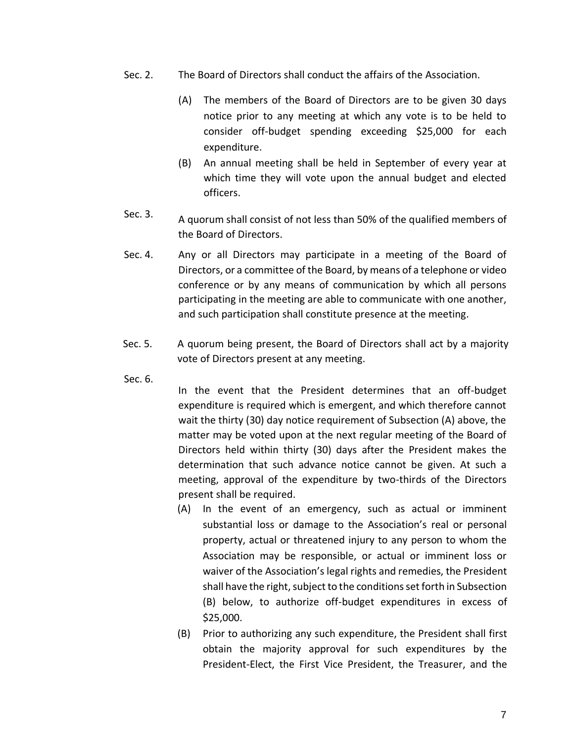- Sec. 2. The Board of Directors shall conduct the affairs of the Association.
	- (A) The members of the Board of Directors are to be given 30 days notice prior to any meeting at which any vote is to be held to consider off-budget spending exceeding \$25,000 for each expenditure.
	- (B) An annual meeting shall be held in September of every year at which time they will vote upon the annual budget and elected officers.
- Sec. 3. A quorum shall consist of not less than 50% of the qualified members of the Board of Directors.
- Sec. 4. Any or all Directors may participate in a meeting of the Board of Directors, or a committee of the Board, by means of a telephone or video conference or by any means of communication by which all persons participating in the meeting are able to communicate with one another, and such participation shall constitute presence at the meeting.
- Sec. 5. A quorum being present, the Board of Directors shall act by a majority vote of Directors present at any meeting.
- Sec. 6.

In the event that the President determines that an off-budget expenditure is required which is emergent, and which therefore cannot wait the thirty (30) day notice requirement of Subsection (A) above, the matter may be voted upon at the next regular meeting of the Board of Directors held within thirty (30) days after the President makes the determination that such advance notice cannot be given. At such a meeting, approval of the expenditure by two-thirds of the Directors present shall be required.

- (A) In the event of an emergency, such as actual or imminent substantial loss or damage to the Association's real or personal property, actual or threatened injury to any person to whom the Association may be responsible, or actual or imminent loss or waiver of the Association's legal rights and remedies, the President shall have the right, subject to the conditions set forth in Subsection (B) below, to authorize off-budget expenditures in excess of \$25,000.
- (B) Prior to authorizing any such expenditure, the President shall first obtain the majority approval for such expenditures by the President-Elect, the First Vice President, the Treasurer, and the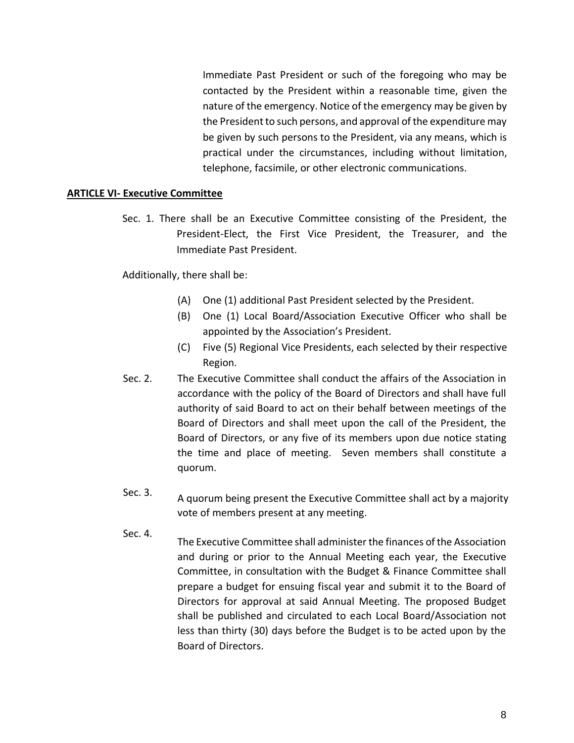Immediate Past President or such of the foregoing who may be contacted by the President within a reasonable time, given the nature of the emergency. Notice of the emergency may be given by the President to such persons, and approval of the expenditure may be given by such persons to the President, via any means, which is practical under the circumstances, including without limitation, telephone, facsimile, or other electronic communications.

## **ARTICLE VI- Executive Committee**

Sec. 1. There shall be an Executive Committee consisting of the President, the President-Elect, the First Vice President, the Treasurer, and the Immediate Past President.

Additionally, there shall be:

- (A) One (1) additional Past President selected by the President.
- (B) One (1) Local Board/Association Executive Officer who shall be appointed by the Association's President.
- (C) Five (5) Regional Vice Presidents, each selected by their respective Region.
- Sec. 2. The Executive Committee shall conduct the affairs of the Association in accordance with the policy of the Board of Directors and shall have full authority of said Board to act on their behalf between meetings of the Board of Directors and shall meet upon the call of the President, the Board of Directors, or any five of its members upon due notice stating the time and place of meeting. Seven members shall constitute a quorum.
- Sec. 3. A quorum being present the Executive Committee shall act by a majority vote of members present at any meeting.
- Sec. 4. The Executive Committee shall administer the finances of the Association and during or prior to the Annual Meeting each year, the Executive Committee, in consultation with the Budget & Finance Committee shall prepare a budget for ensuing fiscal year and submit it to the Board of Directors for approval at said Annual Meeting. The proposed Budget shall be published and circulated to each Local Board/Association not less than thirty (30) days before the Budget is to be acted upon by the Board of Directors.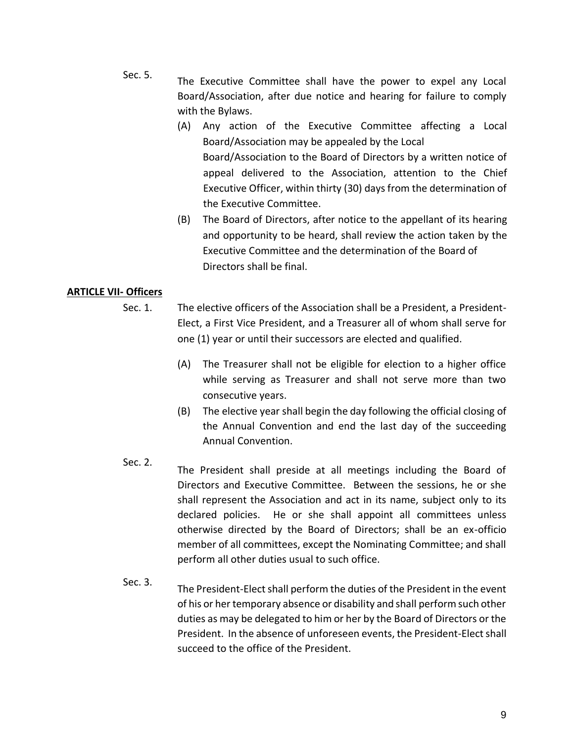- Sec. 5. The Executive Committee shall have the power to expel any Local Board/Association, after due notice and hearing for failure to comply with the Bylaws.
	- (A) Any action of the Executive Committee affecting a Local Board/Association may be appealed by the Local Board/Association to the Board of Directors by a written notice of appeal delivered to the Association, attention to the Chief Executive Officer, within thirty (30) days from the determination of the Executive Committee.
	- (B) The Board of Directors, after notice to the appellant of its hearing and opportunity to be heard, shall review the action taken by the Executive Committee and the determination of the Board of Directors shall be final.

# **ARTICLE VII- Officers**

- Sec. 1. The elective officers of the Association shall be a President, a President-Elect, a First Vice President, and a Treasurer all of whom shall serve for one (1) year or until their successors are elected and qualified.
	- (A) The Treasurer shall not be eligible for election to a higher office while serving as Treasurer and shall not serve more than two consecutive years.
	- (B) The elective year shall begin the day following the official closing of the Annual Convention and end the last day of the succeeding Annual Convention.
- Sec. 2. The President shall preside at all meetings including the Board of Directors and Executive Committee. Between the sessions, he or she shall represent the Association and act in its name, subject only to its declared policies. He or she shall appoint all committees unless otherwise directed by the Board of Directors; shall be an ex-officio member of all committees, except the Nominating Committee; and shall perform all other duties usual to such office.
- Sec. 3. The President-Elect shall perform the duties of the President in the event of his or her temporary absence or disability and shall perform such other duties as may be delegated to him or her by the Board of Directors or the President. In the absence of unforeseen events, the President-Elect shall succeed to the office of the President.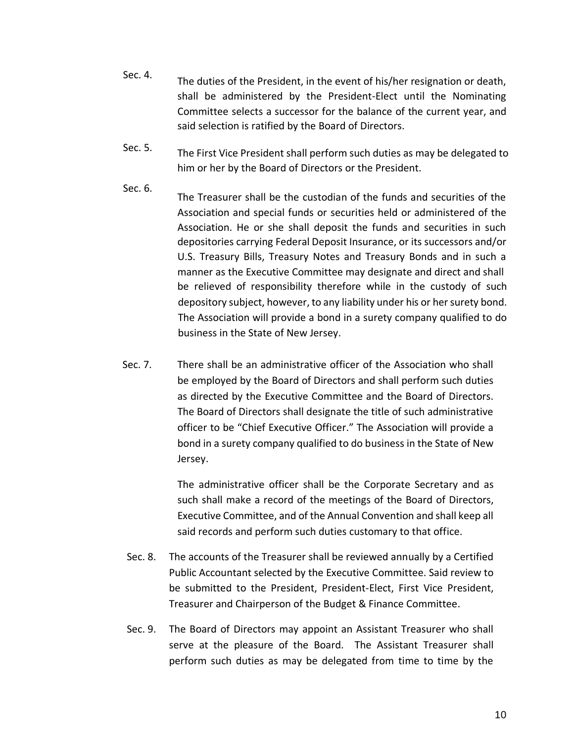- Sec. 4. The duties of the President, in the event of his/her resignation or death, shall be administered by the President-Elect until the Nominating Committee selects a successor for the balance of the current year, and said selection is ratified by the Board of Directors.
- Sec. 5. The First Vice President shall perform such duties as may be delegated to him or her by the Board of Directors or the President.
- Sec. 6. The Treasurer shall be the custodian of the funds and securities of the Association and special funds or securities held or administered of the Association. He or she shall deposit the funds and securities in such depositories carrying Federal Deposit Insurance, or its successors and/or U.S. Treasury Bills, Treasury Notes and Treasury Bonds and in such a manner as the Executive Committee may designate and direct and shall be relieved of responsibility therefore while in the custody of such depository subject, however, to any liability under his or her surety bond. The Association will provide a bond in a surety company qualified to do business in the State of New Jersey.
- Sec. 7. There shall be an administrative officer of the Association who shall be employed by the Board of Directors and shall perform such duties as directed by the Executive Committee and the Board of Directors. The Board of Directors shall designate the title of such administrative officer to be "Chief Executive Officer." The Association will provide a bond in a surety company qualified to do business in the State of New Jersey.

The administrative officer shall be the Corporate Secretary and as such shall make a record of the meetings of the Board of Directors, Executive Committee, and of the Annual Convention and shall keep all said records and perform such duties customary to that office.

- Sec. 8. The accounts of the Treasurer shall be reviewed annually by a Certified Public Accountant selected by the Executive Committee. Said review to be submitted to the President, President-Elect, First Vice President, Treasurer and Chairperson of the Budget & Finance Committee.
- Sec. 9. The Board of Directors may appoint an Assistant Treasurer who shall serve at the pleasure of the Board. The Assistant Treasurer shall perform such duties as may be delegated from time to time by the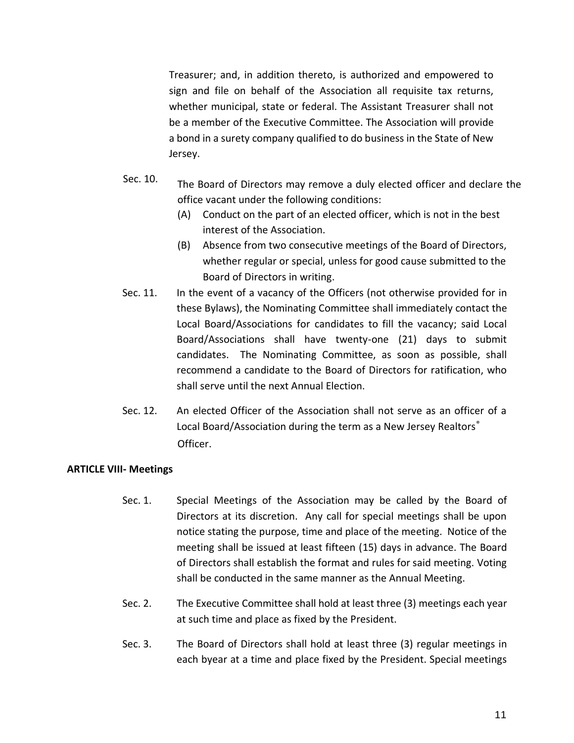Treasurer; and, in addition thereto, is authorized and empowered to sign and file on behalf of the Association all requisite tax returns, whether municipal, state or federal. The Assistant Treasurer shall not be a member of the Executive Committee. The Association will provide a bond in a surety company qualified to do business in the State of New Jersey.

- Sec. 10. The Board of Directors may remove a duly elected officer and declare the office vacant under the following conditions:
	- (A) Conduct on the part of an elected officer, which is not in the best interest of the Association.
	- (B) Absence from two consecutive meetings of the Board of Directors, whether regular or special, unless for good cause submitted to the Board of Directors in writing.
- Sec. 11. In the event of a vacancy of the Officers (not otherwise provided for in these Bylaws), the Nominating Committee shall immediately contact the Local Board/Associations for candidates to fill the vacancy; said Local Board/Associations shall have twenty-one (21) days to submit candidates. The Nominating Committee, as soon as possible, shall recommend a candidate to the Board of Directors for ratification, who shall serve until the next Annual Election.
- Sec. 12. An elected Officer of the Association shall not serve as an officer of a Local Board/Association during the term as a New Jersey Realtors® Officer.

## **ARTICLE VIII- Meetings**

- Sec. 1. Special Meetings of the Association may be called by the Board of Directors at its discretion. Any call for special meetings shall be upon notice stating the purpose, time and place of the meeting. Notice of the meeting shall be issued at least fifteen (15) days in advance. The Board of Directors shall establish the format and rules for said meeting. Voting shall be conducted in the same manner as the Annual Meeting.
- Sec. 2. The Executive Committee shall hold at least three (3) meetings each year at such time and place as fixed by the President.
- Sec. 3. The Board of Directors shall hold at least three (3) regular meetings in each byear at a time and place fixed by the President. Special meetings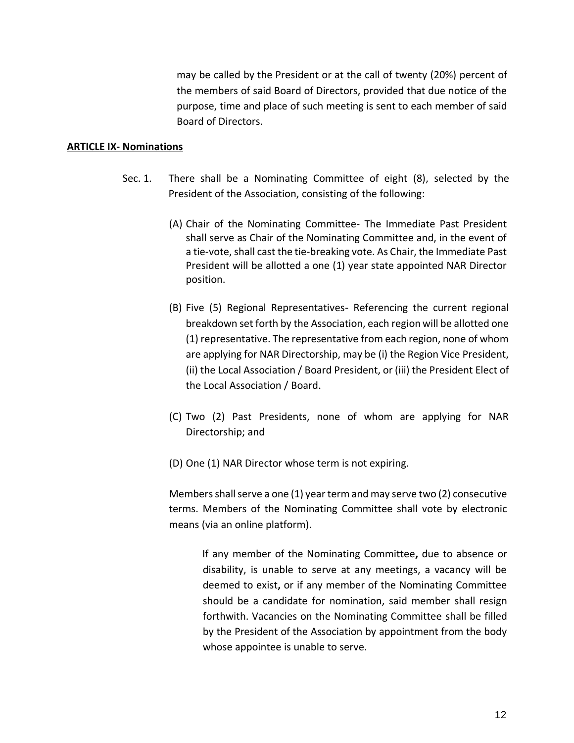may be called by the President or at the call of twenty (20%) percent of the members of said Board of Directors, provided that due notice of the purpose, time and place of such meeting is sent to each member of said Board of Directors.

#### **ARTICLE IX- Nominations**

- Sec. 1. There shall be a Nominating Committee of eight (8), selected by the President of the Association, consisting of the following:
	- (A) Chair of the Nominating Committee- The Immediate Past President shall serve as Chair of the Nominating Committee and, in the event of a tie-vote, shall cast the tie-breaking vote. As Chair, the Immediate Past President will be allotted a one (1) year state appointed NAR Director position.
	- (B) Five (5) Regional Representatives- Referencing the current regional breakdown set forth by the Association, each region will be allotted one (1) representative. The representative from each region, none of whom are applying for NAR Directorship, may be (i) the Region Vice President, (ii) the Local Association / Board President, or (iii) the President Elect of the Local Association / Board.
	- (C) Two (2) Past Presidents, none of whom are applying for NAR Directorship; and
	- (D) One (1) NAR Director whose term is not expiring.

Members shall serve a one (1) year term and may serve two (2) consecutive terms. Members of the Nominating Committee shall vote by electronic means (via an online platform).

> If any member of the Nominating Committee**,** due to absence or disability, is unable to serve at any meetings, a vacancy will be deemed to exist**,** or if any member of the Nominating Committee should be a candidate for nomination, said member shall resign forthwith. Vacancies on the Nominating Committee shall be filled by the President of the Association by appointment from the body whose appointee is unable to serve.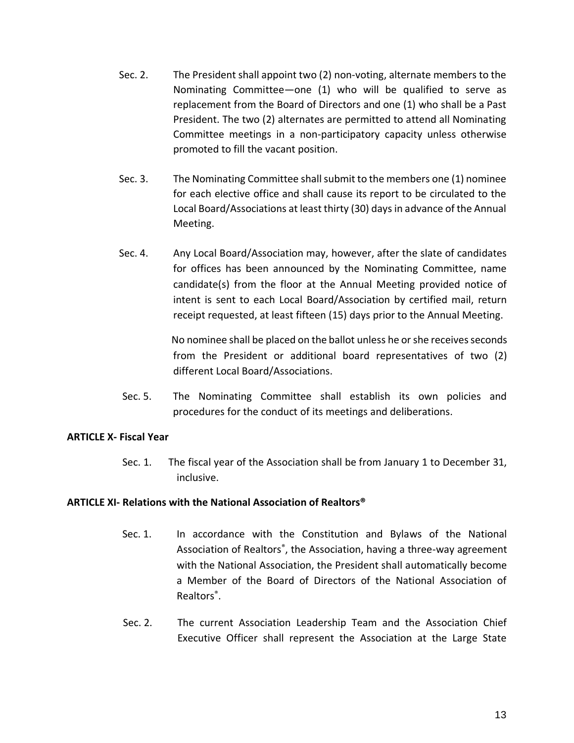- Sec. 2. The President shall appoint two (2) non-voting, alternate members to the Nominating Committee—one (1) who will be qualified to serve as replacement from the Board of Directors and one (1) who shall be a Past President. The two (2) alternates are permitted to attend all Nominating Committee meetings in a non-participatory capacity unless otherwise promoted to fill the vacant position.
- Sec. 3. The Nominating Committee shall submit to the members one (1) nominee for each elective office and shall cause its report to be circulated to the Local Board/Associations at least thirty (30) days in advance of the Annual Meeting.
- Sec. 4. Any Local Board/Association may, however, after the slate of candidates for offices has been announced by the Nominating Committee, name candidate(s) from the floor at the Annual Meeting provided notice of intent is sent to each Local Board/Association by certified mail, return receipt requested, at least fifteen (15) days prior to the Annual Meeting.

No nominee shall be placed on the ballot unless he or she receives seconds from the President or additional board representatives of two (2) different Local Board/Associations.

Sec. 5. The Nominating Committee shall establish its own policies and procedures for the conduct of its meetings and deliberations.

# **ARTICLE X- Fiscal Year**

Sec. 1. The fiscal year of the Association shall be from January 1 to December 31, inclusive.

## **ARTICLE XI- Relations with the National Association of Realtors®**

- Sec. 1. In accordance with the Constitution and Bylaws of the National Association of Realtors<sup>®</sup>, the Association, having a three-way agreement with the National Association, the President shall automatically become a Member of the Board of Directors of the National Association of Realtors<sup>®</sup>.
- Sec. 2. The current Association Leadership Team and the Association Chief Executive Officer shall represent the Association at the Large State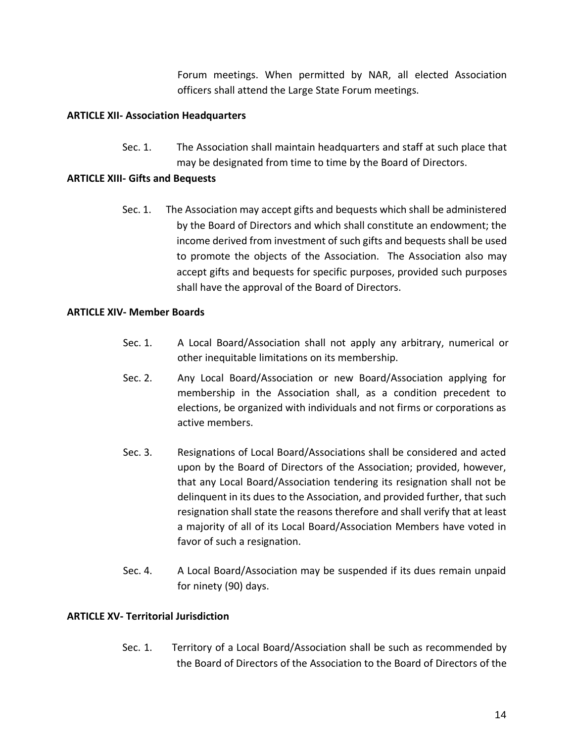Forum meetings. When permitted by NAR, all elected Association officers shall attend the Large State Forum meetings.

# **ARTICLE XII- Association Headquarters**

Sec. 1. The Association shall maintain headquarters and staff at such place that may be designated from time to time by the Board of Directors.

## **ARTICLE XIII- Gifts and Bequests**

Sec. 1. The Association may accept gifts and bequests which shall be administered by the Board of Directors and which shall constitute an endowment; the income derived from investment of such gifts and bequests shall be used to promote the objects of the Association. The Association also may accept gifts and bequests for specific purposes, provided such purposes shall have the approval of the Board of Directors.

## **ARTICLE XIV- Member Boards**

- Sec. 1. A Local Board/Association shall not apply any arbitrary, numerical or other inequitable limitations on its membership.
- Sec. 2. Any Local Board/Association or new Board/Association applying for membership in the Association shall, as a condition precedent to elections, be organized with individuals and not firms or corporations as active members.
- Sec. 3. Resignations of Local Board/Associations shall be considered and acted upon by the Board of Directors of the Association; provided, however, that any Local Board/Association tendering its resignation shall not be delinquent in its dues to the Association, and provided further, that such resignation shall state the reasons therefore and shall verify that at least a majority of all of its Local Board/Association Members have voted in favor of such a resignation.
- Sec. 4. A Local Board/Association may be suspended if its dues remain unpaid for ninety (90) days.

## **ARTICLE XV- Territorial Jurisdiction**

Sec. 1. Territory of a Local Board/Association shall be such as recommended by the Board of Directors of the Association to the Board of Directors of the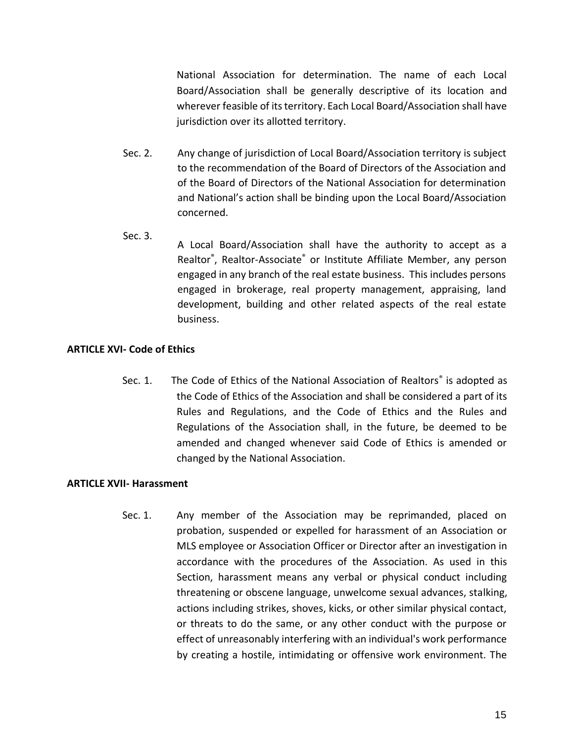National Association for determination. The name of each Local Board/Association shall be generally descriptive of its location and wherever feasible of its territory. Each Local Board/Association shall have jurisdiction over its allotted territory.

- Sec. 2. Any change of jurisdiction of Local Board/Association territory is subject to the recommendation of the Board of Directors of the Association and of the Board of Directors of the National Association for determination and National's action shall be binding upon the Local Board/Association concerned.
- Sec. 3. A Local Board/Association shall have the authority to accept as a Realtor® , Realtor-Associate® or Institute Affiliate Member, any person engaged in any branch of the real estate business. This includes persons engaged in brokerage, real property management, appraising, land development, building and other related aspects of the real estate business.

# **ARTICLE XVI- Code of Ethics**

Sec. 1. The Code of Ethics of the National Association of Realtors<sup>®</sup> is adopted as the Code of Ethics of the Association and shall be considered a part of its Rules and Regulations, and the Code of Ethics and the Rules and Regulations of the Association shall, in the future, be deemed to be amended and changed whenever said Code of Ethics is amended or changed by the National Association.

## **ARTICLE XVII- Harassment**

Sec. 1. Any member of the Association may be reprimanded, placed on probation, suspended or expelled for harassment of an Association or MLS employee or Association Officer or Director after an investigation in accordance with the procedures of the Association. As used in this Section, harassment means any verbal or physical conduct including threatening or obscene language, unwelcome sexual advances, stalking, actions including strikes, shoves, kicks, or other similar physical contact, or threats to do the same, or any other conduct with the purpose or effect of unreasonably interfering with an individual's work performance by creating a hostile, intimidating or offensive work environment. The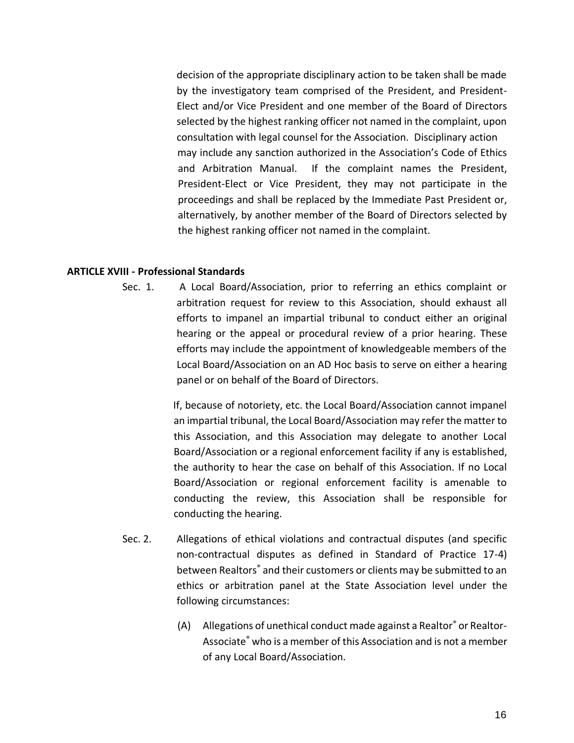decision of the appropriate disciplinary action to be taken shall be made by the investigatory team comprised of the President, and President-Elect and/or Vice President and one member of the Board of Directors selected by the highest ranking officer not named in the complaint, upon consultation with legal counsel for the Association. Disciplinary action may include any sanction authorized in the Association's Code of Ethics and Arbitration Manual. If the complaint names the President, President-Elect or Vice President, they may not participate in the proceedings and shall be replaced by the Immediate Past President or, alternatively, by another member of the Board of Directors selected by the highest ranking officer not named in the complaint.

#### **ARTICLE XVIII - Professional Standards**

Sec. 1. A Local Board/Association, prior to referring an ethics complaint or arbitration request for review to this Association, should exhaust all efforts to impanel an impartial tribunal to conduct either an original hearing or the appeal or procedural review of a prior hearing. These efforts may include the appointment of knowledgeable members of the Local Board/Association on an AD Hoc basis to serve on either a hearing panel or on behalf of the Board of Directors.

> If, because of notoriety, etc. the Local Board/Association cannot impanel an impartial tribunal, the Local Board/Association may refer the matter to this Association, and this Association may delegate to another Local Board/Association or a regional enforcement facility if any is established, the authority to hear the case on behalf of this Association. If no Local Board/Association or regional enforcement facility is amenable to conducting the review, this Association shall be responsible for conducting the hearing.

- Sec. 2. Allegations of ethical violations and contractual disputes (and specific non-contractual disputes as defined in Standard of Practice 17-4) between Realtors® and their customers or clients may be submitted to an ethics or arbitration panel at the State Association level under the following circumstances:
	- (A) Allegations of unethical conduct made against a Realtor® or Realtor-Associate® who is a member of this Association and is not a member of any Local Board/Association.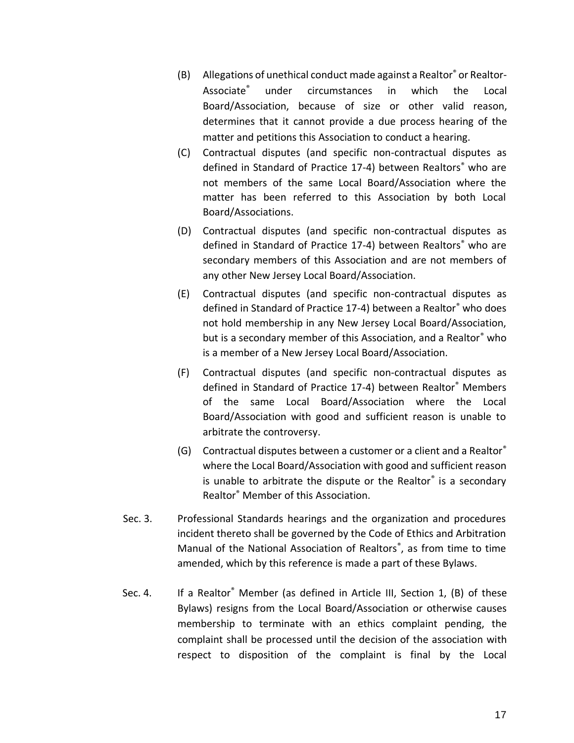- (B) Allegations of unethical conduct made against a Realtor® or Realtor-Associate® under circumstances in which the Local Board/Association, because of size or other valid reason, determines that it cannot provide a due process hearing of the matter and petitions this Association to conduct a hearing.
- (C) Contractual disputes (and specific non-contractual disputes as defined in Standard of Practice 17-4) between Realtors<sup>®</sup> who are not members of the same Local Board/Association where the matter has been referred to this Association by both Local Board/Associations.
- (D) Contractual disputes (and specific non-contractual disputes as defined in Standard of Practice 17-4) between Realtors<sup>®</sup> who are secondary members of this Association and are not members of any other New Jersey Local Board/Association.
- (E) Contractual disputes (and specific non-contractual disputes as defined in Standard of Practice 17-4) between a Realtor® who does not hold membership in any New Jersey Local Board/Association, but is a secondary member of this Association, and a Realtor® who is a member of a New Jersey Local Board/Association.
- (F) Contractual disputes (and specific non-contractual disputes as defined in Standard of Practice 17-4) between Realtor® Members of the same Local Board/Association where the Local Board/Association with good and sufficient reason is unable to arbitrate the controversy.
- (G) Contractual disputes between a customer or a client and a Realtor® where the Local Board/Association with good and sufficient reason is unable to arbitrate the dispute or the Realtor® is a secondary Realtor® Member of this Association.
- Sec. 3. Professional Standards hearings and the organization and procedures incident thereto shall be governed by the Code of Ethics and Arbitration Manual of the National Association of Realtors® , as from time to time amended, which by this reference is made a part of these Bylaws.
- Sec. 4. If a Realtor<sup>®</sup> Member (as defined in Article III, Section 1, (B) of these Bylaws) resigns from the Local Board/Association or otherwise causes membership to terminate with an ethics complaint pending, the complaint shall be processed until the decision of the association with respect to disposition of the complaint is final by the Local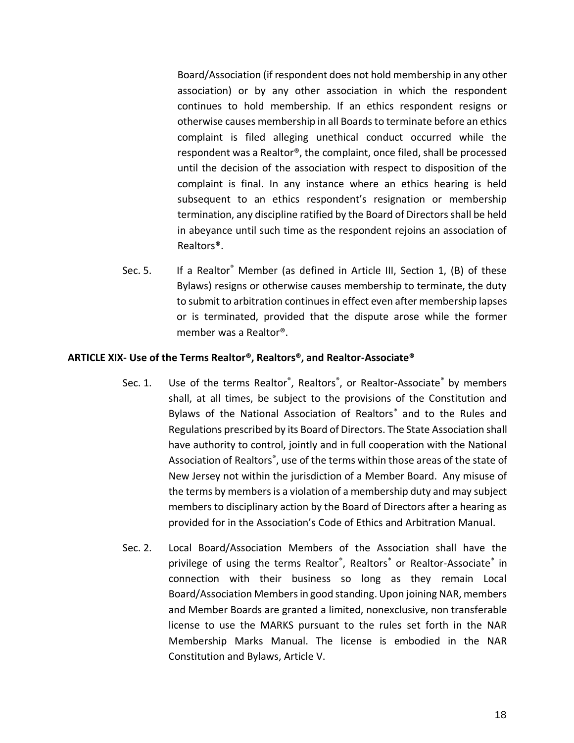Board/Association (if respondent does not hold membership in any other association) or by any other association in which the respondent continues to hold membership. If an ethics respondent resigns or otherwise causes membership in all Boards to terminate before an ethics complaint is filed alleging unethical conduct occurred while the respondent was a Realtor®, the complaint, once filed, shall be processed until the decision of the association with respect to disposition of the complaint is final. In any instance where an ethics hearing is held subsequent to an ethics respondent's resignation or membership termination, any discipline ratified by the Board of Directors shall be held in abeyance until such time as the respondent rejoins an association of Realtors®.

Sec. 5. If a Realtor® Member (as defined in Article III, Section 1, (B) of these Bylaws) resigns or otherwise causes membership to terminate, the duty to submit to arbitration continues in effect even after membership lapses or is terminated, provided that the dispute arose while the former member was a Realtor®.

#### **ARTICLE XIX- Use of the Terms Realtor®, Realtors®, and Realtor-Associate®**

- Sec. 1. Use of the terms Realtor®, Realtors®, or Realtor-Associate® by members shall, at all times, be subject to the provisions of the Constitution and Bylaws of the National Association of Realtors® and to the Rules and Regulations prescribed by its Board of Directors. The State Association shall have authority to control, jointly and in full cooperation with the National Association of Realtors<sup>®</sup>, use of the terms within those areas of the state of New Jersey not within the jurisdiction of a Member Board. Any misuse of the terms by members is a violation of a membership duty and may subject members to disciplinary action by the Board of Directors after a hearing as provided for in the Association's Code of Ethics and Arbitration Manual.
- Sec. 2. Local Board/Association Members of the Association shall have the privilege of using the terms Realtor®, Realtors® or Realtor-Associate® in connection with their business so long as they remain Local Board/Association Members in good standing. Upon joining NAR, members and Member Boards are granted a limited, nonexclusive, non transferable license to use the MARKS pursuant to the rules set forth in the NAR Membership Marks Manual. The license is embodied in the NAR Constitution and Bylaws, Article V.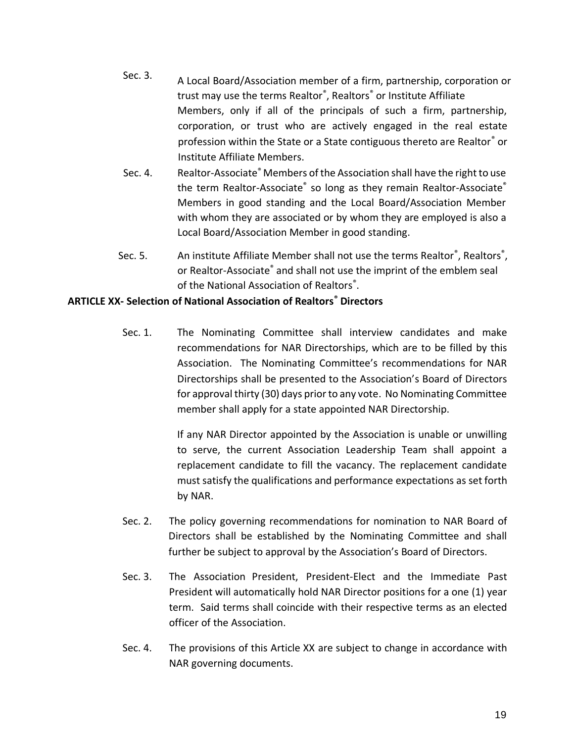- Sec. 3. A Local Board/Association member of a firm, partnership, corporation or trust may use the terms Realtor® , Realtors® or Institute Affiliate Members, only if all of the principals of such a firm, partnership, corporation, or trust who are actively engaged in the real estate profession within the State or a State contiguous thereto are Realtor® or Institute Affiliate Members.
- Sec. 4. Realtor-Associate® Members of the Association shall have the right to use the term Realtor-Associate® so long as they remain Realtor-Associate® Members in good standing and the Local Board/Association Member with whom they are associated or by whom they are employed is also a Local Board/Association Member in good standing.
- Sec. 5. An institute Affiliate Member shall not use the terms Realtor®, Realtors®, or Realtor-Associate<sup>®</sup> and shall not use the imprint of the emblem seal of the National Association of Realtors<sup>®</sup>.

# **ARTICLE XX- Selection of National Association of Realtors® Directors**

Sec. 1. The Nominating Committee shall interview candidates and make recommendations for NAR Directorships, which are to be filled by this Association. The Nominating Committee's recommendations for NAR Directorships shall be presented to the Association's Board of Directors for approval thirty (30) days prior to any vote. No Nominating Committee member shall apply for a state appointed NAR Directorship.

> If any NAR Director appointed by the Association is unable or unwilling to serve, the current Association Leadership Team shall appoint a replacement candidate to fill the vacancy. The replacement candidate must satisfy the qualifications and performance expectations as set forth by NAR.

- Sec. 2. The policy governing recommendations for nomination to NAR Board of Directors shall be established by the Nominating Committee and shall further be subject to approval by the Association's Board of Directors.
- Sec. 3. The Association President, President-Elect and the Immediate Past President will automatically hold NAR Director positions for a one (1) year term. Said terms shall coincide with their respective terms as an elected officer of the Association.
- Sec. 4. The provisions of this Article XX are subject to change in accordance with NAR governing documents.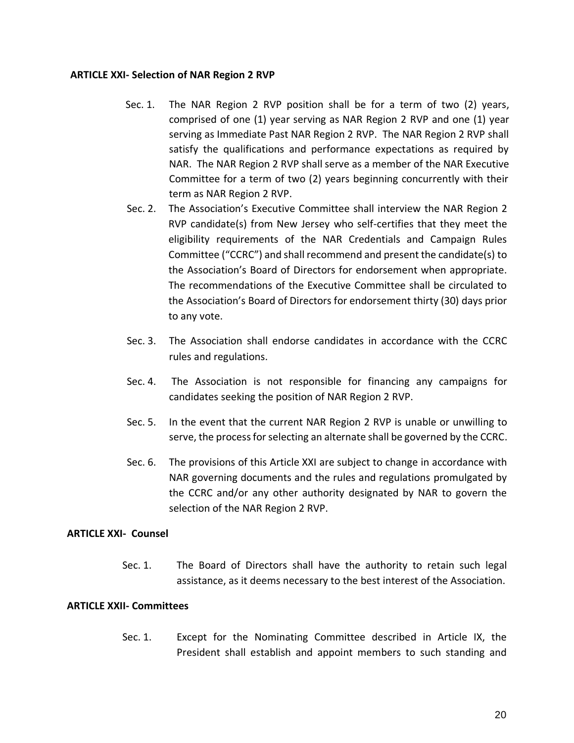#### **ARTICLE XXI- Selection of NAR Region 2 RVP**

- Sec. 1. The NAR Region 2 RVP position shall be for a term of two (2) years, comprised of one (1) year serving as NAR Region 2 RVP and one (1) year serving as Immediate Past NAR Region 2 RVP. The NAR Region 2 RVP shall satisfy the qualifications and performance expectations as required by NAR. The NAR Region 2 RVP shall serve as a member of the NAR Executive Committee for a term of two (2) years beginning concurrently with their term as NAR Region 2 RVP.
- Sec. 2. The Association's Executive Committee shall interview the NAR Region 2 RVP candidate(s) from New Jersey who self-certifies that they meet the eligibility requirements of the NAR Credentials and Campaign Rules Committee ("CCRC") and shall recommend and present the candidate(s) to the Association's Board of Directors for endorsement when appropriate. The recommendations of the Executive Committee shall be circulated to the Association's Board of Directors for endorsement thirty (30) days prior to any vote.
- Sec. 3. The Association shall endorse candidates in accordance with the CCRC rules and regulations.
- Sec. 4. The Association is not responsible for financing any campaigns for candidates seeking the position of NAR Region 2 RVP.
- Sec. 5. In the event that the current NAR Region 2 RVP is unable or unwilling to serve, the process for selecting an alternate shall be governed by the CCRC.
- Sec. 6. The provisions of this Article XXI are subject to change in accordance with NAR governing documents and the rules and regulations promulgated by the CCRC and/or any other authority designated by NAR to govern the selection of the NAR Region 2 RVP.

## **ARTICLE XXI- Counsel**

Sec. 1. The Board of Directors shall have the authority to retain such legal assistance, as it deems necessary to the best interest of the Association.

## **ARTICLE XXII- Committees**

Sec. 1. Except for the Nominating Committee described in Article IX, the President shall establish and appoint members to such standing and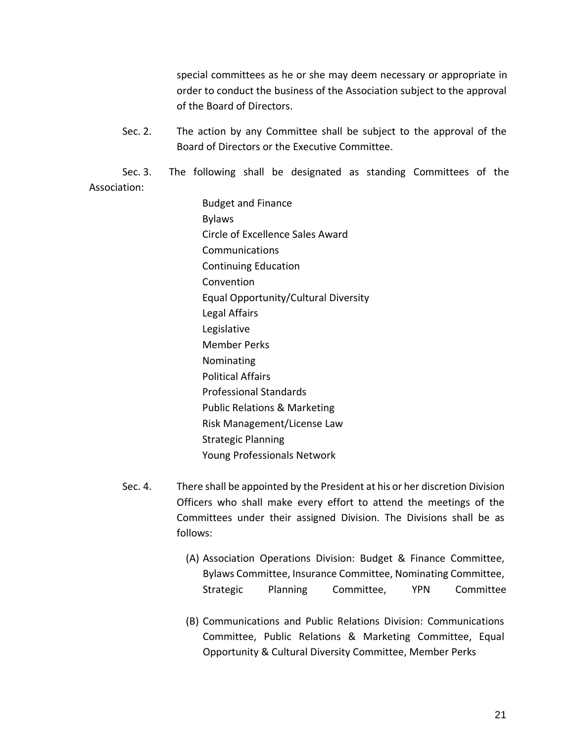special committees as he or she may deem necessary or appropriate in order to conduct the business of the Association subject to the approval of the Board of Directors.

Sec. 2. The action by any Committee shall be subject to the approval of the Board of Directors or the Executive Committee.

Sec. 3. The following shall be designated as standing Committees of the Association:

> Budget and Finance Bylaws Circle of Excellence Sales Award Communications Continuing Education Convention Equal Opportunity/Cultural Diversity Legal Affairs Legislative Member Perks Nominating Political Affairs Professional Standards Public Relations & Marketing Risk Management/License Law Strategic Planning Young Professionals Network

- Sec. 4. There shall be appointed by the President at his or her discretion Division Officers who shall make every effort to attend the meetings of the Committees under their assigned Division. The Divisions shall be as follows:
	- (A) Association Operations Division: Budget & Finance Committee, Bylaws Committee, Insurance Committee, Nominating Committee, Strategic Planning Committee, YPN Committee
	- (B) Communications and Public Relations Division: Communications Committee, Public Relations & Marketing Committee, Equal Opportunity & Cultural Diversity Committee, Member Perks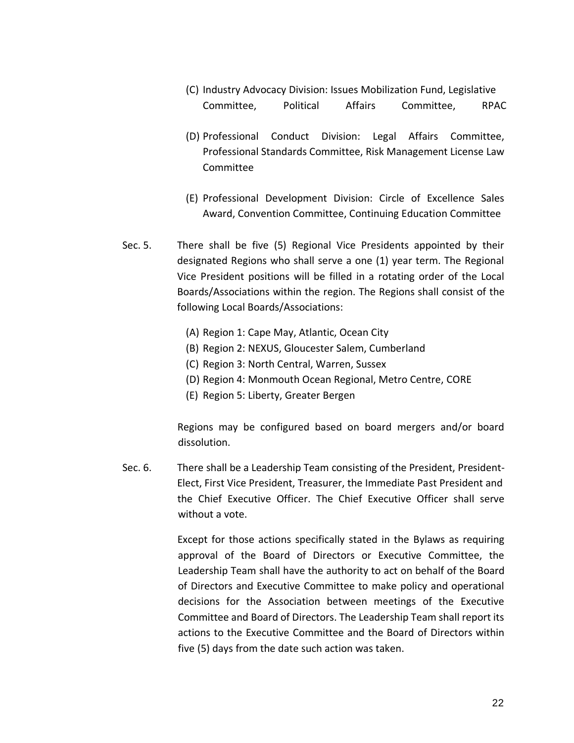- (C) Industry Advocacy Division: Issues Mobilization Fund, Legislative Committee, Political Affairs Committee, RPAC
- (D) Professional Conduct Division: Legal Affairs Committee, Professional Standards Committee, Risk Management License Law Committee
- (E) Professional Development Division: Circle of Excellence Sales Award, Convention Committee, Continuing Education Committee
- Sec. 5. There shall be five (5) Regional Vice Presidents appointed by their designated Regions who shall serve a one (1) year term. The Regional Vice President positions will be filled in a rotating order of the Local Boards/Associations within the region. The Regions shall consist of the following Local Boards/Associations:
	- (A) Region 1: Cape May, Atlantic, Ocean City
	- (B) Region 2: NEXUS, Gloucester Salem, Cumberland
	- (C) Region 3: North Central, Warren, Sussex
	- (D) Region 4: Monmouth Ocean Regional, Metro Centre, CORE
	- (E) Region 5: Liberty, Greater Bergen

Regions may be configured based on board mergers and/or board dissolution.

Sec. 6. There shall be a Leadership Team consisting of the President, President-Elect, First Vice President, Treasurer, the Immediate Past President and the Chief Executive Officer. The Chief Executive Officer shall serve without a vote.

> Except for those actions specifically stated in the Bylaws as requiring approval of the Board of Directors or Executive Committee, the Leadership Team shall have the authority to act on behalf of the Board of Directors and Executive Committee to make policy and operational decisions for the Association between meetings of the Executive Committee and Board of Directors. The Leadership Team shall report its actions to the Executive Committee and the Board of Directors within five (5) days from the date such action was taken.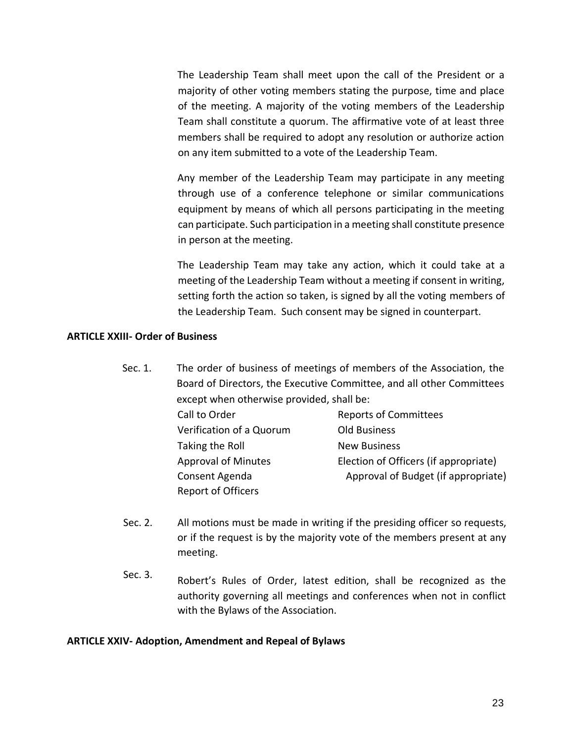The Leadership Team shall meet upon the call of the President or a majority of other voting members stating the purpose, time and place of the meeting. A majority of the voting members of the Leadership Team shall constitute a quorum. The affirmative vote of at least three members shall be required to adopt any resolution or authorize action on any item submitted to a vote of the Leadership Team.

Any member of the Leadership Team may participate in any meeting through use of a conference telephone or similar communications equipment by means of which all persons participating in the meeting can participate. Such participation in a meeting shall constitute presence in person at the meeting.

The Leadership Team may take any action, which it could take at a meeting of the Leadership Team without a meeting if consent in writing, setting forth the action so taken, is signed by all the voting members of the Leadership Team. Such consent may be signed in counterpart.

#### **ARTICLE XXIII- Order of Business**

Sec. 1. The order of business of meetings of members of the Association, the Board of Directors, the Executive Committee, and all other Committees except when otherwise provided, shall be:

| Call to Order              | <b>Reports of Committees</b>          |
|----------------------------|---------------------------------------|
| Verification of a Quorum   | <b>Old Business</b>                   |
| Taking the Roll            | <b>New Business</b>                   |
| <b>Approval of Minutes</b> | Election of Officers (if appropriate) |
| Consent Agenda             | Approval of Budget (if appropriate)   |
| <b>Report of Officers</b>  |                                       |

- Sec. 2. All motions must be made in writing if the presiding officer so requests, or if the request is by the majority vote of the members present at any meeting.
- Sec. 3. Robert's Rules of Order, latest edition, shall be recognized as the authority governing all meetings and conferences when not in conflict with the Bylaws of the Association.

#### **ARTICLE XXIV- Adoption, Amendment and Repeal of Bylaws**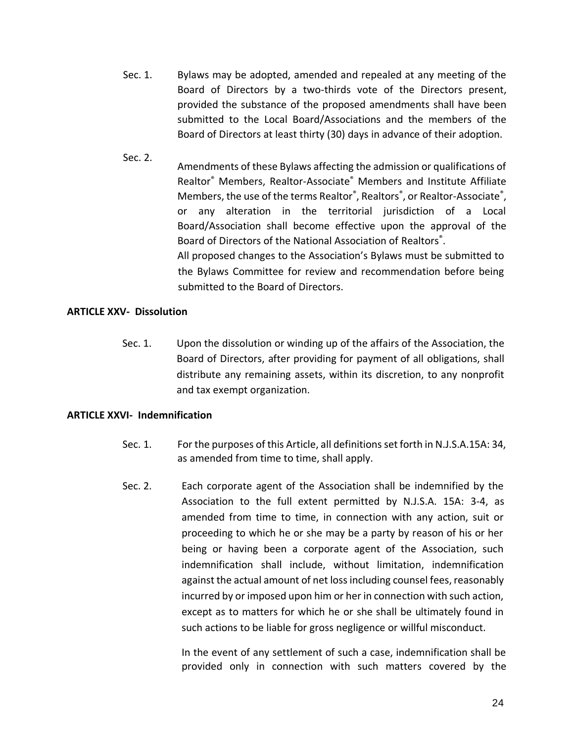- Sec. 1. Bylaws may be adopted, amended and repealed at any meeting of the Board of Directors by a two-thirds vote of the Directors present, provided the substance of the proposed amendments shall have been submitted to the Local Board/Associations and the members of the Board of Directors at least thirty (30) days in advance of their adoption.
- Sec. 2. Amendments of these Bylaws affecting the admission or qualifications of Realtor® Members, Realtor-Associate® Members and Institute Affiliate Members, the use of the terms Realtor<sup>®</sup>, Realtors<sup>®</sup>, or Realtor-Associate<sup>®</sup>, or any alteration in the territorial jurisdiction of a Local Board/Association shall become effective upon the approval of the Board of Directors of the National Association of Realtors® . All proposed changes to the Association's Bylaws must be submitted to the Bylaws Committee for review and recommendation before being submitted to the Board of Directors.

#### **ARTICLE XXV- Dissolution**

Sec. 1. Upon the dissolution or winding up of the affairs of the Association, the Board of Directors, after providing for payment of all obligations, shall distribute any remaining assets, within its discretion, to any nonprofit and tax exempt organization.

## **ARTICLE XXVI- Indemnification**

- Sec. 1. For the purposes of this Article, all definitions set forth in N.J.S.A.15A: 34, as amended from time to time, shall apply.
- Sec. 2. Each corporate agent of the Association shall be indemnified by the Association to the full extent permitted by N.J.S.A. 15A: 3-4, as amended from time to time, in connection with any action, suit or proceeding to which he or she may be a party by reason of his or her being or having been a corporate agent of the Association, such indemnification shall include, without limitation, indemnification against the actual amount of net loss including counsel fees, reasonably incurred by or imposed upon him or her in connection with such action, except as to matters for which he or she shall be ultimately found in such actions to be liable for gross negligence or willful misconduct.

In the event of any settlement of such a case, indemnification shall be provided only in connection with such matters covered by the